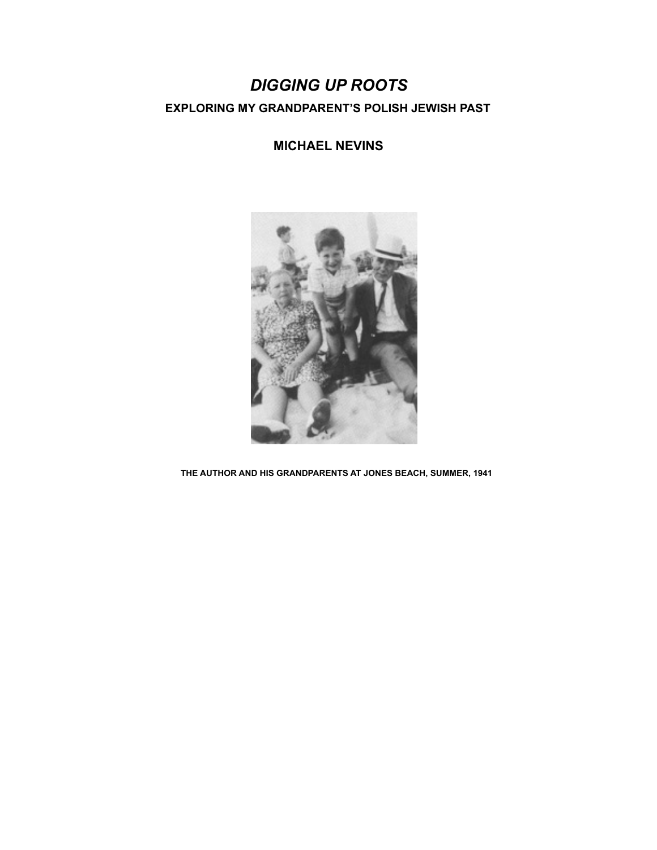# *DIGGING UP ROOTS*  **EXPLORING MY GRANDPARENT'S POLISH JEWISH PAST**

**MICHAEL NEVINS** 



 **THE AUTHOR AND HIS GRANDPARENTS AT JONES BEACH, SUMMER, 1941**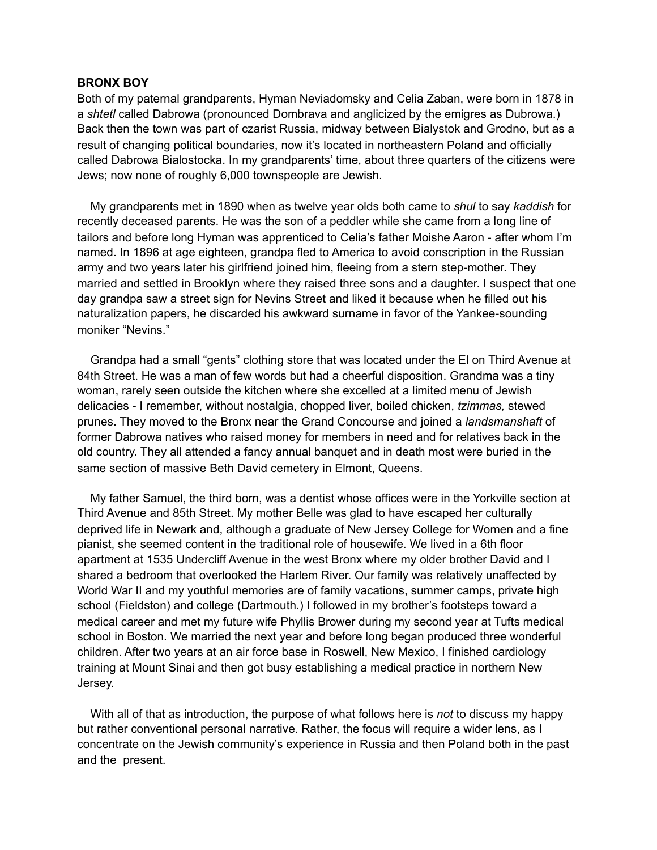### **BRONX BOY**

Both of my paternal grandparents, Hyman Neviadomsky and Celia Zaban, were born in 1878 in a *shtetl* called Dabrowa (pronounced Dombrava and anglicized by the emigres as Dubrowa.) Back then the town was part of czarist Russia, midway between Bialystok and Grodno, but as a result of changing political boundaries, now it's located in northeastern Poland and officially called Dabrowa Bialostocka. In my grandparents' time, about three quarters of the citizens were Jews; now none of roughly 6,000 townspeople are Jewish.

 My grandparents met in 1890 when as twelve year olds both came to *shul* to say *kaddish* for recently deceased parents. He was the son of a peddler while she came from a long line of tailors and before long Hyman was apprenticed to Celia's father Moishe Aaron - after whom I'm named. In 1896 at age eighteen, grandpa fled to America to avoid conscription in the Russian army and two years later his girlfriend joined him, fleeing from a stern step-mother. They married and settled in Brooklyn where they raised three sons and a daughter. I suspect that one day grandpa saw a street sign for Nevins Street and liked it because when he filled out his naturalization papers, he discarded his awkward surname in favor of the Yankee-sounding moniker "Nevins."

 Grandpa had a small "gents" clothing store that was located under the El on Third Avenue at 84th Street. He was a man of few words but had a cheerful disposition. Grandma was a tiny woman, rarely seen outside the kitchen where she excelled at a limited menu of Jewish delicacies - I remember, without nostalgia, chopped liver, boiled chicken, *tzimmas,* stewed prunes. They moved to the Bronx near the Grand Concourse and joined a *landsmanshaft* of former Dabrowa natives who raised money for members in need and for relatives back in the old country. They all attended a fancy annual banquet and in death most were buried in the same section of massive Beth David cemetery in Elmont, Queens.

 My father Samuel, the third born, was a dentist whose offices were in the Yorkville section at Third Avenue and 85th Street. My mother Belle was glad to have escaped her culturally deprived life in Newark and, although a graduate of New Jersey College for Women and a fine pianist, she seemed content in the traditional role of housewife. We lived in a 6th floor apartment at 1535 Undercliff Avenue in the west Bronx where my older brother David and I shared a bedroom that overlooked the Harlem River. Our family was relatively unaffected by World War II and my youthful memories are of family vacations, summer camps, private high school (Fieldston) and college (Dartmouth.) I followed in my brother's footsteps toward a medical career and met my future wife Phyllis Brower during my second year at Tufts medical school in Boston. We married the next year and before long began produced three wonderful children. After two years at an air force base in Roswell, New Mexico, I finished cardiology training at Mount Sinai and then got busy establishing a medical practice in northern New Jersey.

 With all of that as introduction, the purpose of what follows here is *not* to discuss my happy but rather conventional personal narrative. Rather, the focus will require a wider lens, as I concentrate on the Jewish community's experience in Russia and then Poland both in the past and the present.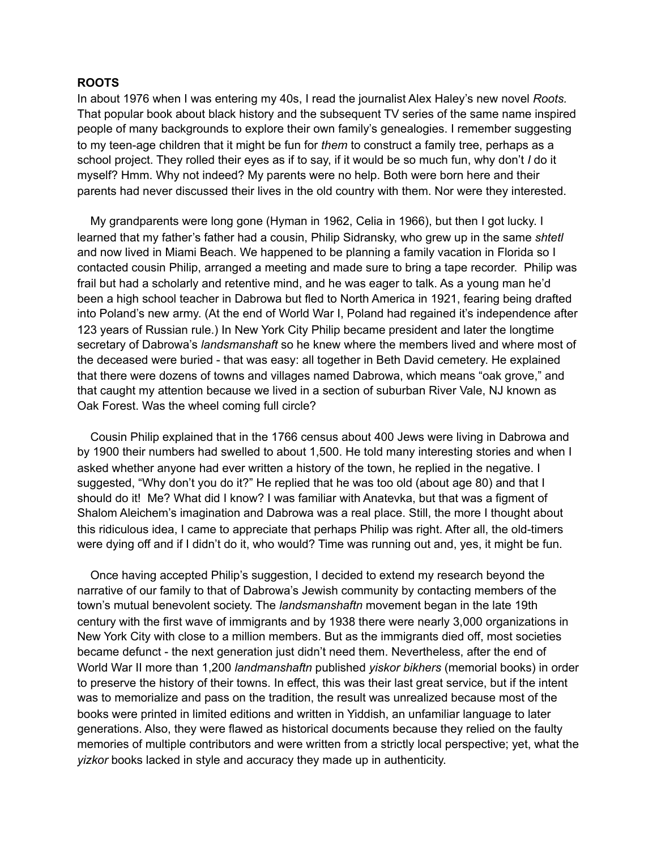## **ROOTS**

In about 1976 when I was entering my 40s, I read the journalist Alex Haley's new novel *Roots.*  That popular book about black history and the subsequent TV series of the same name inspired people of many backgrounds to explore their own family's genealogies. I remember suggesting to my teen-age children that it might be fun for *them* to construct a family tree, perhaps as a school project. They rolled their eyes as if to say, if it would be so much fun, why don't *I* do it myself? Hmm. Why not indeed? My parents were no help. Both were born here and their parents had never discussed their lives in the old country with them. Nor were they interested.

 My grandparents were long gone (Hyman in 1962, Celia in 1966), but then I got lucky. I learned that my father's father had a cousin, Philip Sidransky, who grew up in the same *shtetl*  and now lived in Miami Beach. We happened to be planning a family vacation in Florida so I contacted cousin Philip, arranged a meeting and made sure to bring a tape recorder. Philip was frail but had a scholarly and retentive mind, and he was eager to talk. As a young man he'd been a high school teacher in Dabrowa but fled to North America in 1921, fearing being drafted into Poland's new army. (At the end of World War I, Poland had regained it's independence after 123 years of Russian rule.) In New York City Philip became president and later the longtime secretary of Dabrowa's *landsmanshaft* so he knew where the members lived and where most of the deceased were buried - that was easy: all together in Beth David cemetery. He explained that there were dozens of towns and villages named Dabrowa, which means "oak grove," and that caught my attention because we lived in a section of suburban River Vale, NJ known as Oak Forest. Was the wheel coming full circle?

 Cousin Philip explained that in the 1766 census about 400 Jews were living in Dabrowa and by 1900 their numbers had swelled to about 1,500. He told many interesting stories and when I asked whether anyone had ever written a history of the town, he replied in the negative. I suggested, "Why don't you do it?" He replied that he was too old (about age 80) and that I should do it! Me? What did I know? I was familiar with Anatevka, but that was a figment of Shalom Aleichem's imagination and Dabrowa was a real place. Still, the more I thought about this ridiculous idea, I came to appreciate that perhaps Philip was right. After all, the old-timers were dying off and if I didn't do it, who would? Time was running out and, yes, it might be fun.

 Once having accepted Philip's suggestion, I decided to extend my research beyond the narrative of our family to that of Dabrowa's Jewish community by contacting members of the town's mutual benevolent society. The *landsmanshaftn* movement began in the late 19th century with the first wave of immigrants and by 1938 there were nearly 3,000 organizations in New York City with close to a million members. But as the immigrants died off, most societies became defunct - the next generation just didn't need them. Nevertheless, after the end of World War II more than 1,200 *landmanshaftn* published *yiskor bikhers* (memorial books) in order to preserve the history of their towns. In effect, this was their last great service, but if the intent was to memorialize and pass on the tradition, the result was unrealized because most of the books were printed in limited editions and written in Yiddish, an unfamiliar language to later generations. Also, they were flawed as historical documents because they relied on the faulty memories of multiple contributors and were written from a strictly local perspective; yet, what the *yizkor* books lacked in style and accuracy they made up in authenticity.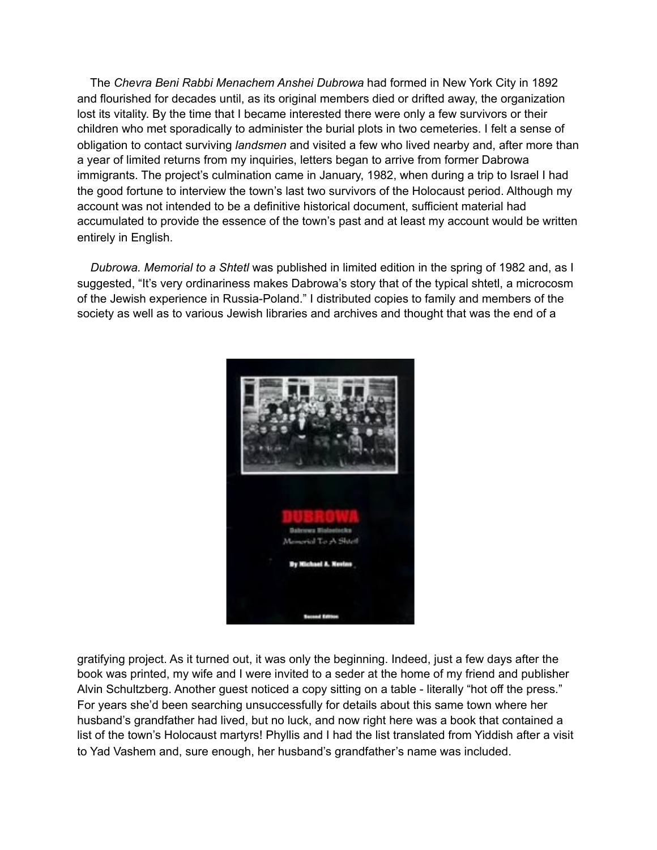The *Chevra Beni Rabbi Menachem Anshei Dubrowa* had formed in New York City in 1892 and flourished for decades until, as its original members died or drifted away, the organization lost its vitality. By the time that I became interested there were only a few survivors or their children who met sporadically to administer the burial plots in two cemeteries. I felt a sense of obligation to contact surviving *landsmen* and visited a few who lived nearby and, after more than a year of limited returns from my inquiries, letters began to arrive from former Dabrowa immigrants. The project's culmination came in January, 1982, when during a trip to Israel I had the good fortune to interview the town's last two survivors of the Holocaust period. Although my account was not intended to be a definitive historical document, sufficient material had accumulated to provide the essence of the town's past and at least my account would be written entirely in English.

 *Dubrowa. Memorial to a Shtetl* was published in limited edition in the spring of 1982 and, as I suggested, "It's very ordinariness makes Dabrowa's story that of the typical shtetl, a microcosm of the Jewish experience in Russia-Poland." I distributed copies to family and members of the society as well as to various Jewish libraries and archives and thought that was the end of a



gratifying project. As it turned out, it was only the beginning. Indeed, just a few days after the book was printed, my wife and I were invited to a seder at the home of my friend and publisher Alvin Schultzberg. Another guest noticed a copy sitting on a table - literally "hot off the press." For years she'd been searching unsuccessfully for details about this same town where her husband's grandfather had lived, but no luck, and now right here was a book that contained a list of the town's Holocaust martyrs! Phyllis and I had the list translated from Yiddish after a visit to Yad Vashem and, sure enough, her husband's grandfather's name was included.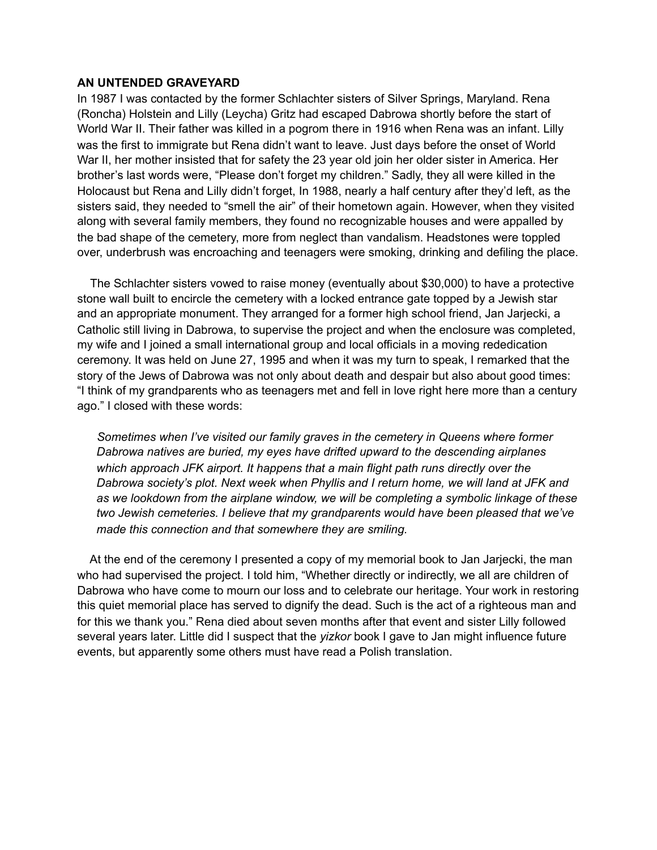## **AN UNTENDED GRAVEYARD**

In 1987 I was contacted by the former Schlachter sisters of Silver Springs, Maryland. Rena (Roncha) Holstein and Lilly (Leycha) Gritz had escaped Dabrowa shortly before the start of World War II. Their father was killed in a pogrom there in 1916 when Rena was an infant. Lilly was the first to immigrate but Rena didn't want to leave. Just days before the onset of World War II, her mother insisted that for safety the 23 year old join her older sister in America. Her brother's last words were, "Please don't forget my children." Sadly, they all were killed in the Holocaust but Rena and Lilly didn't forget, In 1988, nearly a half century after they'd left, as the sisters said, they needed to "smell the air" of their hometown again. However, when they visited along with several family members, they found no recognizable houses and were appalled by the bad shape of the cemetery, more from neglect than vandalism. Headstones were toppled over, underbrush was encroaching and teenagers were smoking, drinking and defiling the place.

 The Schlachter sisters vowed to raise money (eventually about \$30,000) to have a protective stone wall built to encircle the cemetery with a locked entrance gate topped by a Jewish star and an appropriate monument. They arranged for a former high school friend, Jan Jarjecki, a Catholic still living in Dabrowa, to supervise the project and when the enclosure was completed, my wife and I joined a small international group and local officials in a moving rededication ceremony. It was held on June 27, 1995 and when it was my turn to speak, I remarked that the story of the Jews of Dabrowa was not only about death and despair but also about good times: "I think of my grandparents who as teenagers met and fell in love right here more than a century ago." I closed with these words:

 *Sometimes when I've visited our family graves in the cemetery in Queens where former Dabrowa natives are buried, my eyes have drifted upward to the descending airplanes which approach JFK airport. It happens that a main flight path runs directly over the Dabrowa society's plot. Next week when Phyllis and I return home, we will land at JFK and as we lookdown from the airplane window, we will be completing a symbolic linkage of these two Jewish cemeteries. I believe that my grandparents would have been pleased that we've made this connection and that somewhere they are smiling.* 

 At the end of the ceremony I presented a copy of my memorial book to Jan Jarjecki, the man who had supervised the project. I told him, "Whether directly or indirectly, we all are children of Dabrowa who have come to mourn our loss and to celebrate our heritage. Your work in restoring this quiet memorial place has served to dignify the dead. Such is the act of a righteous man and for this we thank you." Rena died about seven months after that event and sister Lilly followed several years later. Little did I suspect that the *yizkor* book I gave to Jan might influence future events, but apparently some others must have read a Polish translation.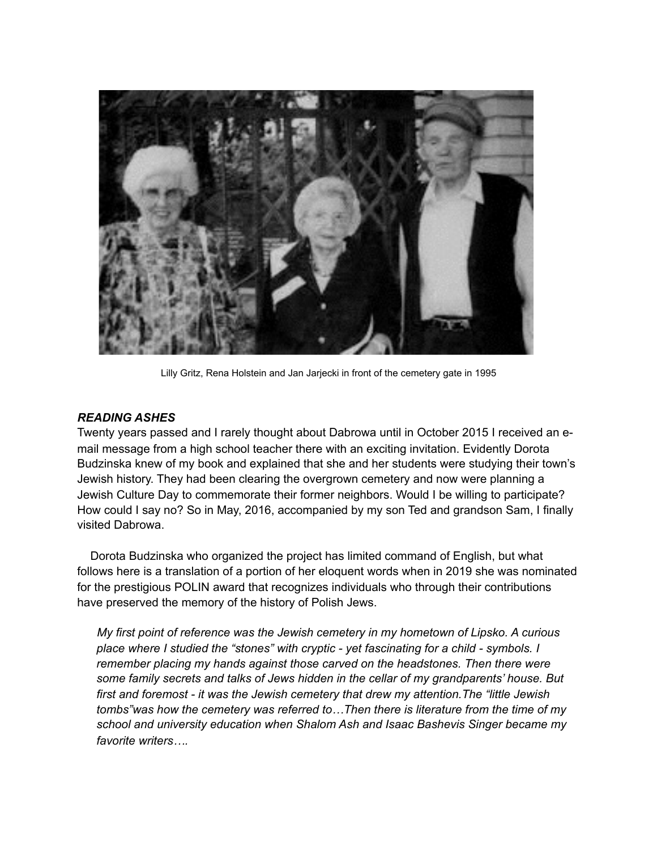

Lilly Gritz, Rena Holstein and Jan Jarjecki in front of the cemetery gate in 1995

# *READING ASHES*

Twenty years passed and I rarely thought about Dabrowa until in October 2015 I received an email message from a high school teacher there with an exciting invitation. Evidently Dorota Budzinska knew of my book and explained that she and her students were studying their town's Jewish history. They had been clearing the overgrown cemetery and now were planning a Jewish Culture Day to commemorate their former neighbors. Would I be willing to participate? How could I say no? So in May, 2016, accompanied by my son Ted and grandson Sam, I finally visited Dabrowa.

 Dorota Budzinska who organized the project has limited command of English, but what follows here is a translation of a portion of her eloquent words when in 2019 she was nominated for the prestigious POLIN award that recognizes individuals who through their contributions have preserved the memory of the history of Polish Jews.

 *My first point of reference was the Jewish cemetery in my hometown of Lipsko. A curious place where I studied the "stones" with cryptic - yet fascinating for a child - symbols. I remember placing my hands against those carved on the headstones. Then there were some family secrets and talks of Jews hidden in the cellar of my grandparents' house. But first and foremost - it was the Jewish cemetery that drew my attention.The "little Jewish tombs"was how the cemetery was referred to…Then there is literature from the time of my school and university education when Shalom Ash and Isaac Bashevis Singer became my favorite writers….*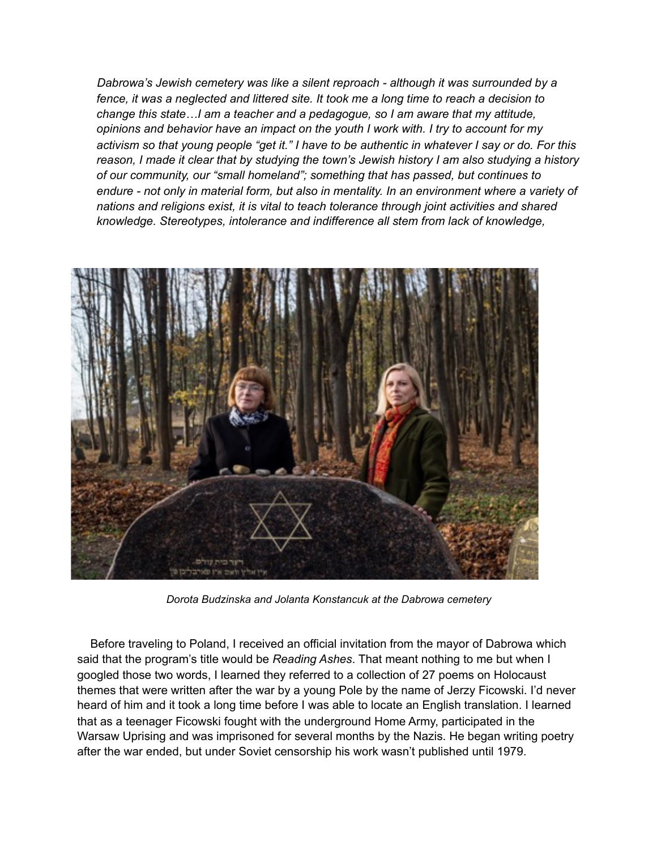*Dabrowa's Jewish cemetery was like a silent reproach - although it was surrounded by a fence, it was a neglected and littered site. It took me a long time to reach a decision to change this state…I am a teacher and a pedagogue, so I am aware that my attitude, opinions and behavior have an impact on the youth I work with. I try to account for my activism so that young people "get it." I have to be authentic in whatever I say or do. For this reason, I made it clear that by studying the town's Jewish history I am also studying a history of our community, our "small homeland"; something that has passed, but continues to endure - not only in material form, but also in mentality. In an environment where a variety of nations and religions exist, it is vital to teach tolerance through joint activities and shared knowledge. Stereotypes, intolerance and indifference all stem from lack of knowledge,* 



*Dorota Budzinska and Jolanta Konstancuk at the Dabrowa cemetery* 

Before traveling to Poland, I received an official invitation from the mayor of Dabrowa which said that the program's title would be *Reading Ashes*. That meant nothing to me but when I googled those two words, I learned they referred to a collection of 27 poems on Holocaust themes that were written after the war by a young Pole by the name of Jerzy Ficowski. I'd never heard of him and it took a long time before I was able to locate an English translation. I learned that as a teenager Ficowski fought with the underground Home Army, participated in the Warsaw Uprising and was imprisoned for several months by the Nazis. He began writing poetry after the war ended, but under Soviet censorship his work wasn't published until 1979.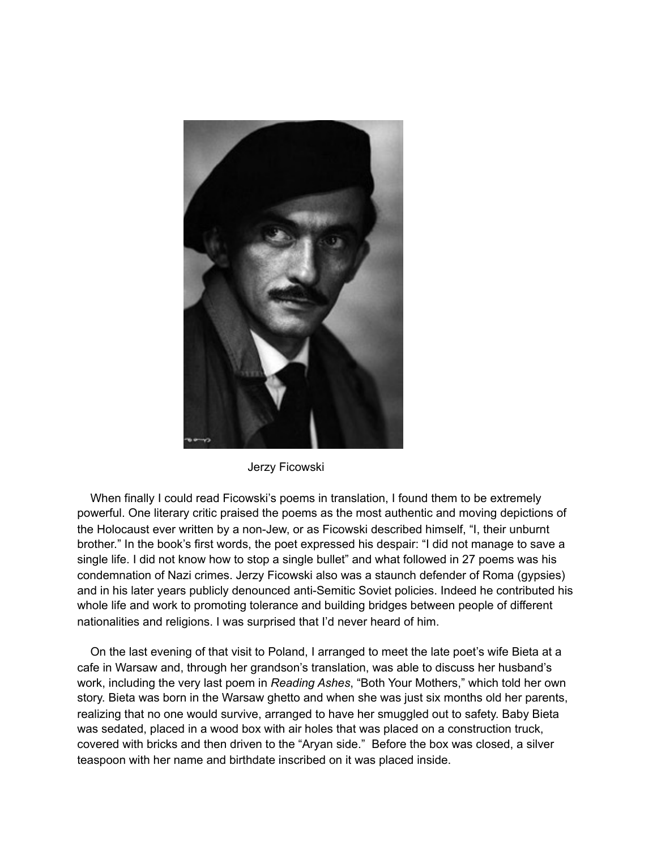

Jerzy Ficowski

When finally I could read Ficowski's poems in translation, I found them to be extremely powerful. One literary critic praised the poems as the most authentic and moving depictions of the Holocaust ever written by a non-Jew, or as Ficowski described himself, "I, their unburnt brother." In the book's first words, the poet expressed his despair: "I did not manage to save a single life. I did not know how to stop a single bullet" and what followed in 27 poems was his condemnation of Nazi crimes. Jerzy Ficowski also was a staunch defender of Roma (gypsies) and in his later years publicly denounced anti-Semitic Soviet policies. Indeed he contributed his whole life and work to promoting tolerance and building bridges between people of different nationalities and religions. I was surprised that I'd never heard of him.

 On the last evening of that visit to Poland, I arranged to meet the late poet's wife Bieta at a cafe in Warsaw and, through her grandson's translation, was able to discuss her husband's work, including the very last poem in *Reading Ashes*, "Both Your Mothers," which told her own story. Bieta was born in the Warsaw ghetto and when she was just six months old her parents, realizing that no one would survive, arranged to have her smuggled out to safety. Baby Bieta was sedated, placed in a wood box with air holes that was placed on a construction truck, covered with bricks and then driven to the "Aryan side." Before the box was closed, a silver teaspoon with her name and birthdate inscribed on it was placed inside.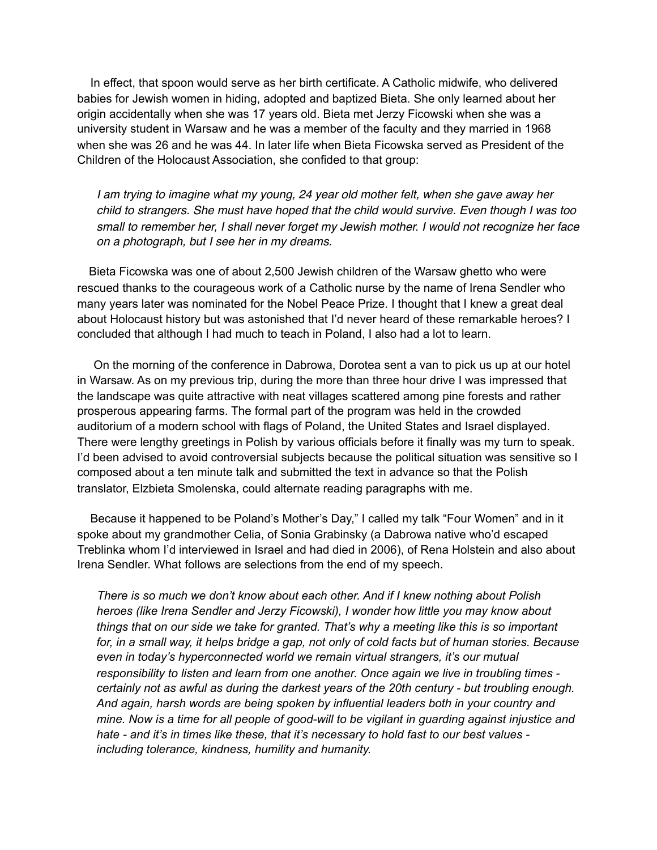In effect, that spoon would serve as her birth certificate. A Catholic midwife, who delivered babies for Jewish women in hiding, adopted and baptized Bieta. She only learned about her origin accidentally when she was 17 years old. Bieta met Jerzy Ficowski when she was a university student in Warsaw and he was a member of the faculty and they married in 1968 when she was 26 and he was 44. In later life when Bieta Ficowska served as President of the Children of the Holocaust Association, she confided to that group:

 *I am trying to imagine what my young, 24 year old mother felt, when she gave away her child to strangers. She must have hoped that the child would survive. Even though I was too small to remember her, I shall never forget my Jewish mother. I would not recognize her face on a photograph, but I see her in my dreams.*

 Bieta Ficowska was one of about 2,500 Jewish children of the Warsaw ghetto who were rescued thanks to the courageous work of a Catholic nurse by the name of Irena Sendler who many years later was nominated for the Nobel Peace Prize. I thought that I knew a great deal about Holocaust history but was astonished that I'd never heard of these remarkable heroes? I concluded that although I had much to teach in Poland, I also had a lot to learn.

 On the morning of the conference in Dabrowa, Dorotea sent a van to pick us up at our hotel in Warsaw. As on my previous trip, during the more than three hour drive I was impressed that the landscape was quite attractive with neat villages scattered among pine forests and rather prosperous appearing farms. The formal part of the program was held in the crowded auditorium of a modern school with flags of Poland, the United States and Israel displayed. There were lengthy greetings in Polish by various officials before it finally was my turn to speak. I'd been advised to avoid controversial subjects because the political situation was sensitive so I composed about a ten minute talk and submitted the text in advance so that the Polish translator, Elzbieta Smolenska, could alternate reading paragraphs with me.

 Because it happened to be Poland's Mother's Day," I called my talk "Four Women" and in it spoke about my grandmother Celia, of Sonia Grabinsky (a Dabrowa native who'd escaped Treblinka whom I'd interviewed in Israel and had died in 2006), of Rena Holstein and also about Irena Sendler. What follows are selections from the end of my speech.

 *There is so much we don't know about each other. And if I knew nothing about Polish heroes (like Irena Sendler and Jerzy Ficowski), I wonder how little you may know about things that on our side we take for granted. That's why a meeting like this is so important*  for, in a small way, it helps bridge a gap, not only of cold facts but of human stories. Because *even in today's hyperconnected world we remain virtual strangers, it's our mutual responsibility to listen and learn from one another. Once again we live in troubling times certainly not as awful as during the darkest years of the 20th century - but troubling enough. And again, harsh words are being spoken by influential leaders both in your country and mine. Now is a time for all people of good-will to be vigilant in guarding against injustice and hate - and it's in times like these, that it's necessary to hold fast to our best values including tolerance, kindness, humility and humanity.*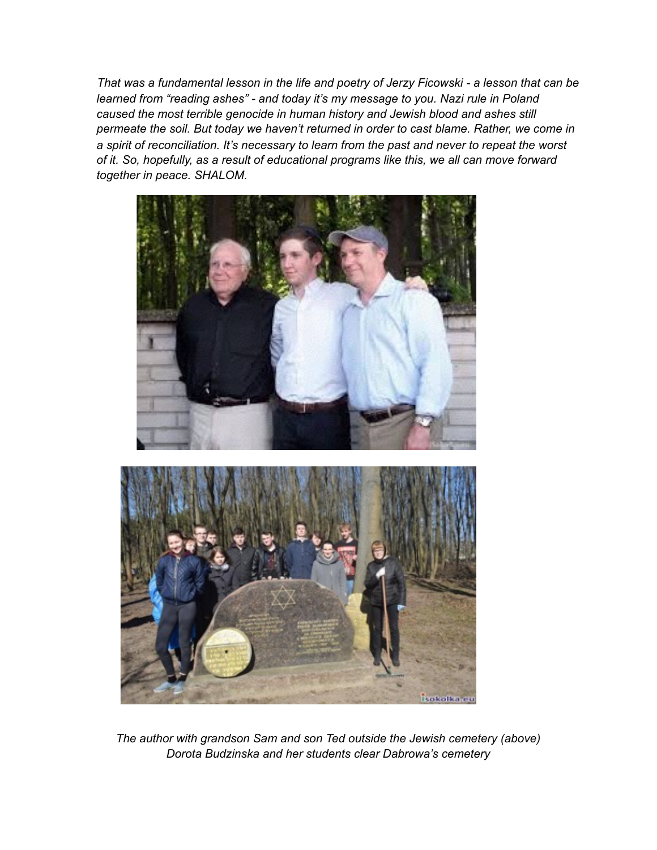*That was a fundamental lesson in the life and poetry of Jerzy Ficowski - a lesson that can be learned from "reading ashes" - and today it's my message to you. Nazi rule in Poland caused the most terrible genocide in human history and Jewish blood and ashes still permeate the soil. But today we haven't returned in order to cast blame. Rather, we come in a spirit of reconciliation. It's necessary to learn from the past and never to repeat the worst of it. So, hopefully, as a result of educational programs like this, we all can move forward together in peace. SHALOM.*





*The author with grandson Sam and son Ted outside the Jewish cemetery (above) Dorota Budzinska and her students clear Dabrowa's cemetery*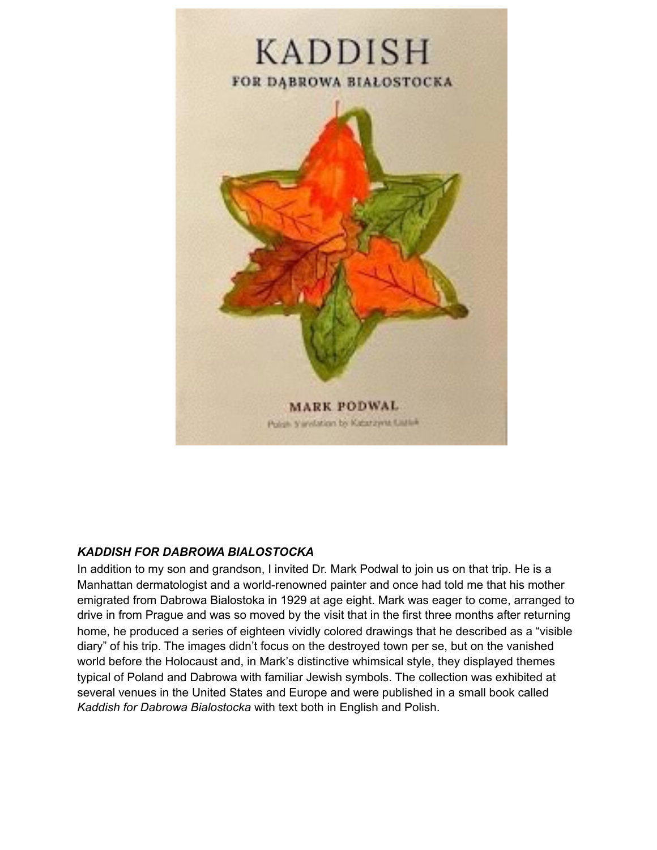

# *KADDISH FOR DABROWA BIALOSTOCKA*

In addition to my son and grandson, I invited Dr. Mark Podwal to join us on that trip. He is a Manhattan dermatologist and a world-renowned painter and once had told me that his mother emigrated from Dabrowa Bialostoka in 1929 at age eight. Mark was eager to come, arranged to drive in from Prague and was so moved by the visit that in the first three months after returning home, he produced a series of eighteen vividly colored drawings that he described as a "visible diary" of his trip. The images didn't focus on the destroyed town per se, but on the vanished world before the Holocaust and, in Mark's distinctive whimsical style, they displayed themes typical of Poland and Dabrowa with familiar Jewish symbols. The collection was exhibited at several venues in the United States and Europe and were published in a small book called *Kaddish for Dabrowa Bialostocka* with text both in English and Polish.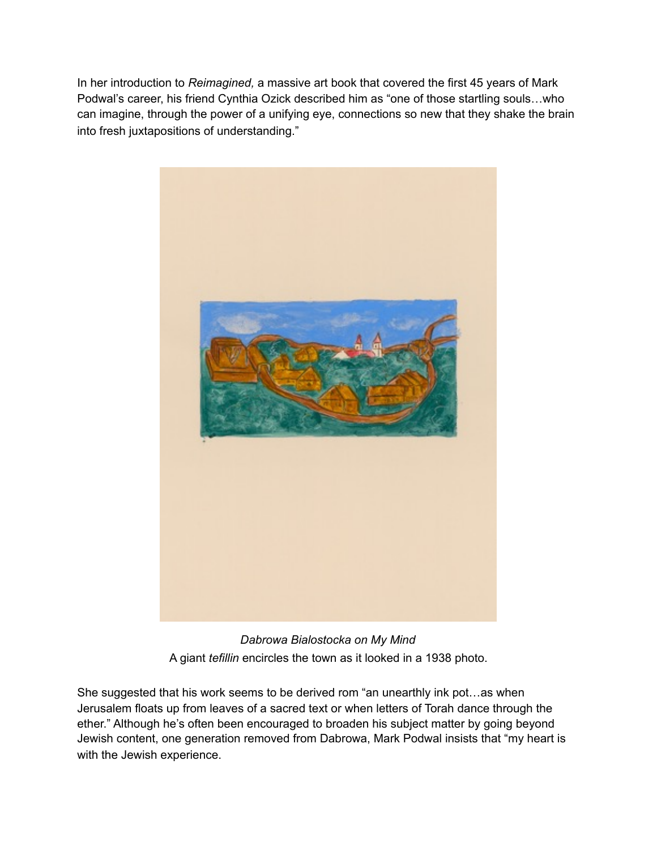In her introduction to *Reimagined,* a massive art book that covered the first 45 years of Mark Podwal's career, his friend Cynthia Ozick described him as "one of those startling souls…who can imagine, through the power of a unifying eye, connections so new that they shake the brain into fresh juxtapositions of understanding."



*Dabrowa Bialostocka on My Mind* A giant *tefillin* encircles the town as it looked in a 1938 photo.

She suggested that his work seems to be derived rom "an unearthly ink pot…as when Jerusalem floats up from leaves of a sacred text or when letters of Torah dance through the ether." Although he's often been encouraged to broaden his subject matter by going beyond Jewish content, one generation removed from Dabrowa, Mark Podwal insists that "my heart is with the Jewish experience.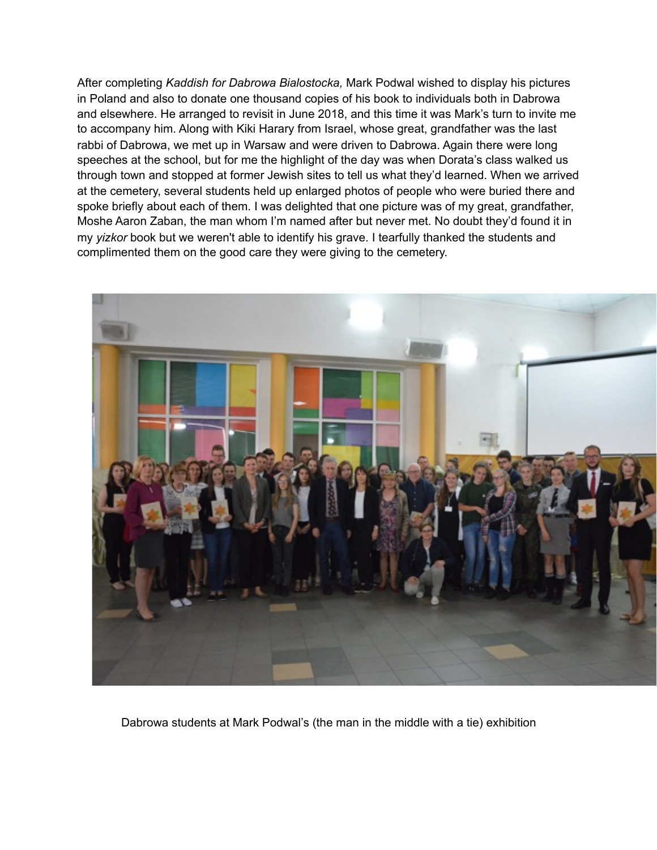After completing *Kaddish for Dabrowa Bialostocka,* Mark Podwal wished to display his pictures in Poland and also to donate one thousand copies of his book to individuals both in Dabrowa and elsewhere. He arranged to revisit in June 2018, and this time it was Mark's turn to invite me to accompany him. Along with Kiki Harary from Israel, whose great, grandfather was the last rabbi of Dabrowa, we met up in Warsaw and were driven to Dabrowa. Again there were long speeches at the school, but for me the highlight of the day was when Dorata's class walked us through town and stopped at former Jewish sites to tell us what they'd learned. When we arrived at the cemetery, several students held up enlarged photos of people who were buried there and spoke briefly about each of them. I was delighted that one picture was of my great, grandfather, Moshe Aaron Zaban, the man whom I'm named after but never met. No doubt they'd found it in my *yizkor* book but we weren't able to identify his grave. I tearfully thanked the students and complimented them on the good care they were giving to the cemetery.



Dabrowa students at Mark Podwal's (the man in the middle with a tie) exhibition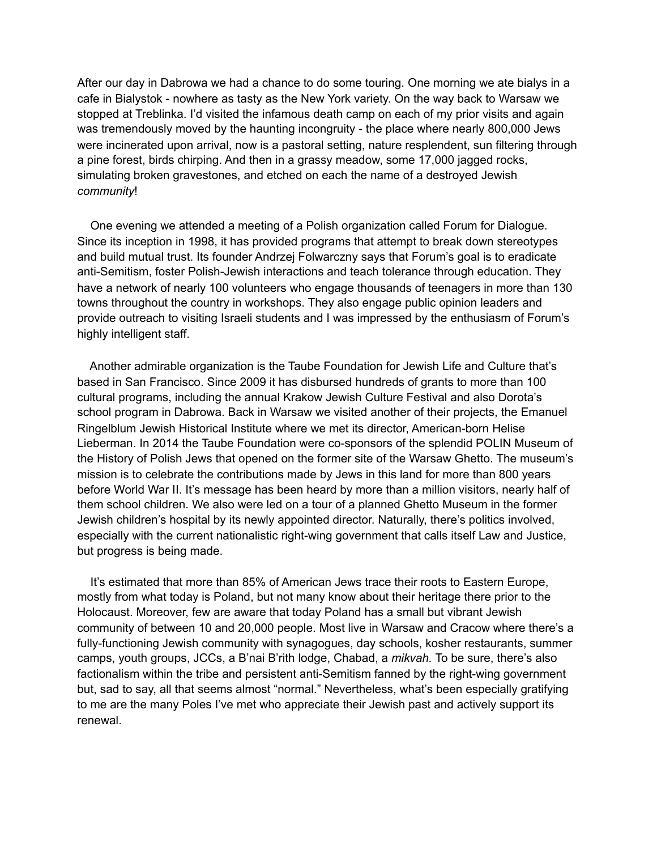After our day in Dabrowa we had a chance to do some touring. One morning we ate bialys in a cafe in Bialystok - nowhere as tasty as the New York variety. On the way back to Warsaw we stopped at Treblinka. I'd visited the infamous death camp on each of my prior visits and again was tremendously moved by the haunting incongruity - the place where nearly 800,000 Jews were incinerated upon arrival, now is a pastoral setting, nature resplendent, sun filtering through a pine forest, birds chirping. And then in a grassy meadow, some 17,000 jagged rocks, simulating broken gravestones, and etched on each the name of a destroyed Jewish *community*!

 One evening we attended a meeting of a Polish organization called Forum for Dialogue. Since its inception in 1998, it has provided programs that attempt to break down stereotypes and build mutual trust. Its founder Andrzej Folwarczny says that Forum's goal is to eradicate anti-Semitism, foster Polish-Jewish interactions and teach tolerance through education. They have a network of nearly 100 volunteers who engage thousands of teenagers in more than 130 towns throughout the country in workshops. They also engage public opinion leaders and provide outreach to visiting Israeli students and I was impressed by the enthusiasm of Forum's highly intelligent staff.

 Another admirable organization is the Taube Foundation for Jewish Life and Culture that's based in San Francisco. Since 2009 it has disbursed hundreds of grants to more than 100 cultural programs, including the annual Krakow Jewish Culture Festival and also Dorota's school program in Dabrowa. Back in Warsaw we visited another of their projects, the Emanuel Ringelblum Jewish Historical Institute where we met its director, American-born Helise Lieberman. In 2014 the Taube Foundation were co-sponsors of the splendid POLIN Museum of the History of Polish Jews that opened on the former site of the Warsaw Ghetto. The museum's mission is to celebrate the contributions made by Jews in this land for more than 800 years before World War II. It's message has been heard by more than a million visitors, nearly half of them school children. We also were led on a tour of a planned Ghetto Museum in the former Jewish children's hospital by its newly appointed director. Naturally, there's politics involved, especially with the current nationalistic right-wing government that calls itself Law and Justice, but progress is being made.

 It's estimated that more than 85% of American Jews trace their roots to Eastern Europe, mostly from what today is Poland, but not many know about their heritage there prior to the Holocaust. Moreover, few are aware that today Poland has a small but vibrant Jewish community of between 10 and 20,000 people. Most live in Warsaw and Cracow where there's a fully-functioning Jewish community with synagogues, day schools, kosher restaurants, summer camps, youth groups, JCCs, a B'nai B'rith lodge, Chabad, a *mikvah.* To be sure, there's also factionalism within the tribe and persistent anti-Semitism fanned by the right-wing government but, sad to say, all that seems almost "normal." Nevertheless, what's been especially gratifying to me are the many Poles I've met who appreciate their Jewish past and actively support its renewal.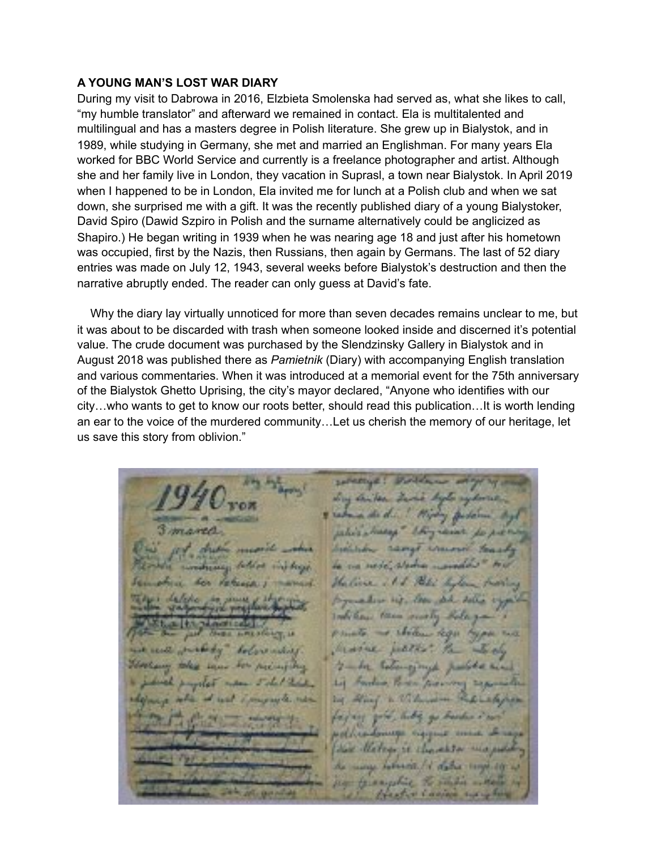# **A YOUNG MAN'S LOST WAR DIARY**

During my visit to Dabrowa in 2016, Elzbieta Smolenska had served as, what she likes to call, "my humble translator" and afterward we remained in contact. Ela is multitalented and multilingual and has a masters degree in Polish literature. She grew up in Bialystok, and in 1989, while studying in Germany, she met and married an Englishman. For many years Ela worked for BBC World Service and currently is a freelance photographer and artist. Although she and her family live in London, they vacation in Suprasl, a town near Bialystok. In April 2019 when I happened to be in London, Ela invited me for lunch at a Polish club and when we sat down, she surprised me with a gift. It was the recently published diary of a young Bialystoker, David Spiro (Dawid Szpiro in Polish and the surname alternatively could be anglicized as Shapiro.) He began writing in 1939 when he was nearing age 18 and just after his hometown was occupied, first by the Nazis, then Russians, then again by Germans. The last of 52 diary entries was made on July 12, 1943, several weeks before Bialystok's destruction and then the narrative abruptly ended. The reader can only guess at David's fate.

 Why the diary lay virtually unnoticed for more than seven decades remains unclear to me, but it was about to be discarded with trash when someone looked inside and discerned it's potential value. The crude document was purchased by the Slendzinsky Gallery in Bialystok and in August 2018 was published there as *Pamietnik* (Diary) with accompanying English translation and various commentaries. When it was introduced at a memorial event for the 75th anniversary of the Bialystok Ghetto Uprising, the city's mayor declared, "Anyone who identifies with our city…who wants to get to know our roots better, should read this publication…It is worth lending an ear to the voice of the murdered community…Let us cherish the memory of our heritage, let us save this story from oblivion."

sales a many *<u><i><u>Administration</u>*</u> a nede alama. Haline 111 Petit de when we the same date down Indiana then making thele 1. Sheden Robert morre petter to Tobers and Jumped  $L = 1$ Forduo, Parker Jacore **Daily AND YOU** of distances it the as selected it status target by or terrigolic to super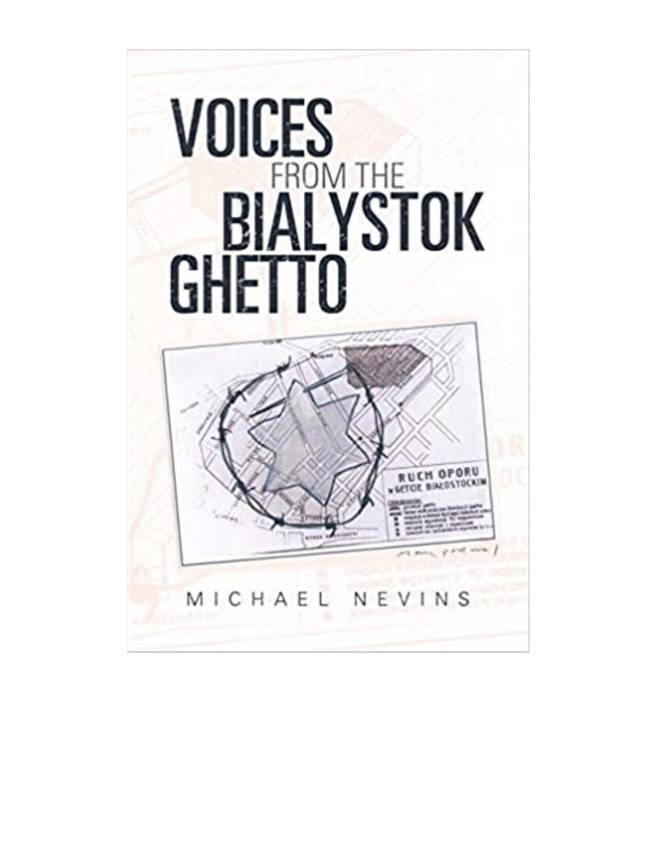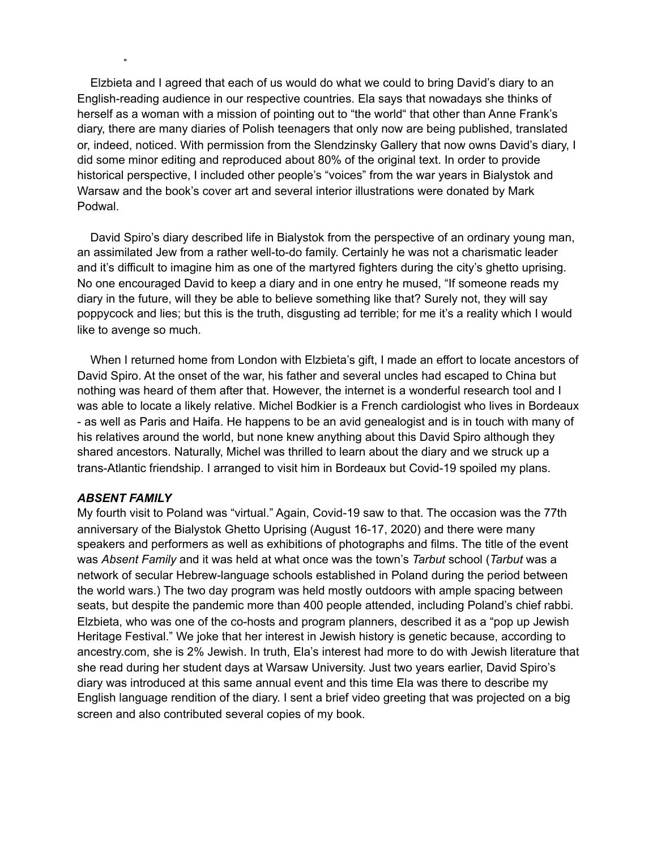Elzbieta and I agreed that each of us would do what we could to bring David's diary to an English-reading audience in our respective countries. Ela says that nowadays she thinks of herself as a woman with a mission of pointing out to "the world" that other than Anne Frank's diary, there are many diaries of Polish teenagers that only now are being published, translated or, indeed, noticed. With permission from the Slendzinsky Gallery that now owns David's diary, I did some minor editing and reproduced about 80% of the original text. In order to provide historical perspective, I included other people's "voices" from the war years in Bialystok and Warsaw and the book's cover art and several interior illustrations were donated by Mark Podwal.

 David Spiro's diary described life in Bialystok from the perspective of an ordinary young man, an assimilated Jew from a rather well-to-do family. Certainly he was not a charismatic leader and it's difficult to imagine him as one of the martyred fighters during the city's ghetto uprising. No one encouraged David to keep a diary and in one entry he mused, "If someone reads my diary in the future, will they be able to believe something like that? Surely not, they will say poppycock and lies; but this is the truth, disgusting ad terrible; for me it's a reality which I would like to avenge so much.

 When I returned home from London with Elzbieta's gift, I made an effort to locate ancestors of David Spiro. At the onset of the war, his father and several uncles had escaped to China but nothing was heard of them after that. However, the internet is a wonderful research tool and I was able to locate a likely relative. Michel Bodkier is a French cardiologist who lives in Bordeaux - as well as Paris and Haifa. He happens to be an avid genealogist and is in touch with many of his relatives around the world, but none knew anything about this David Spiro although they shared ancestors. Naturally, Michel was thrilled to learn about the diary and we struck up a trans-Atlantic friendship. I arranged to visit him in Bordeaux but Covid-19 spoiled my plans.

## *ABSENT FAMILY*

My fourth visit to Poland was "virtual." Again, Covid-19 saw to that. The occasion was the 77th anniversary of the Bialystok Ghetto Uprising (August 16-17, 2020) and there were many speakers and performers as well as exhibitions of photographs and films. The title of the event was *Absent Family* and it was held at what once was the town's *Tarbut* school (*Tarbut* was a network of secular Hebrew-language schools established in Poland during the period between the world wars.) The two day program was held mostly outdoors with ample spacing between seats, but despite the pandemic more than 400 people attended, including Poland's chief rabbi. Elzbieta, who was one of the co-hosts and program planners, described it as a "pop up Jewish Heritage Festival." We joke that her interest in Jewish history is genetic because, according to ancestry.com, she is 2% Jewish. In truth, Ela's interest had more to do with Jewish literature that she read during her student days at Warsaw University. Just two years earlier, David Spiro's diary was introduced at this same annual event and this time Ela was there to describe my English language rendition of the diary. I sent a brief video greeting that was projected on a big screen and also contributed several copies of my book.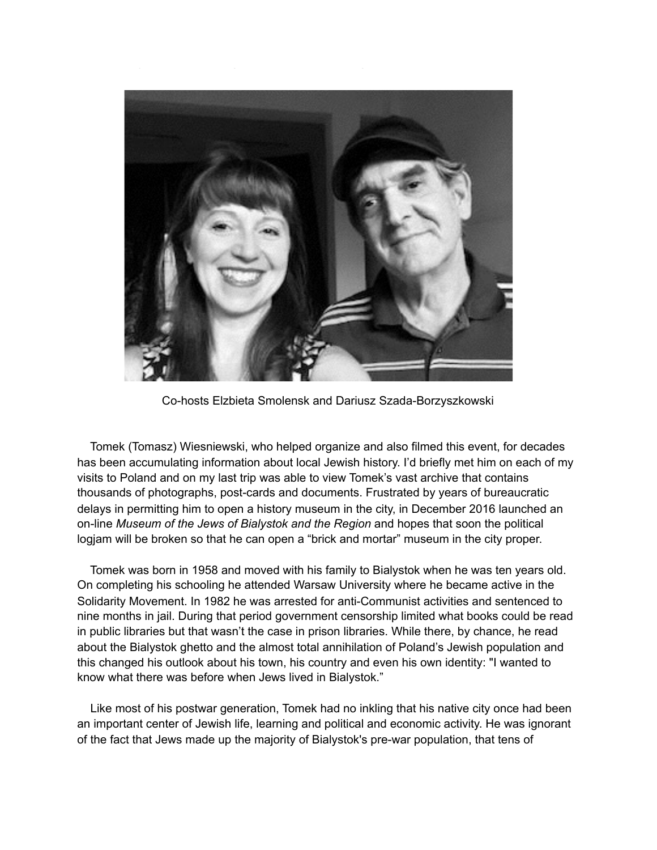

Co-hosts Elzbieta Smolensk and Dariusz Szada-Borzyszkowski

 Tomek (Tomasz) Wiesniewski, who helped organize and also filmed this event, for decades has been accumulating information about local Jewish history. I'd briefly met him on each of my visits to Poland and on my last trip was able to view Tomek's vast archive that contains thousands of photographs, post-cards and documents. Frustrated by years of bureaucratic delays in permitting him to open a history museum in the city, in December 2016 launched an on-line *Museum of the Jews of Bialystok and the Region* and hopes that soon the political logjam will be broken so that he can open a "brick and mortar" museum in the city proper.

 Tomek was born in 1958 and moved with his family to Bialystok when he was ten years old. On completing his schooling he attended Warsaw University where he became active in the Solidarity Movement. In 1982 he was arrested for anti-Communist activities and sentenced to nine months in jail. During that period government censorship limited what books could be read in public libraries but that wasn't the case in prison libraries. While there, by chance, he read about the Bialystok ghetto and the almost total annihilation of Poland's Jewish population and this changed his outlook about his town, his country and even his own identity: "I wanted to know what there was before when Jews lived in Bialystok."

 Like most of his postwar generation, Tomek had no inkling that his native city once had been an important center of Jewish life, learning and political and economic activity. He was ignorant of the fact that Jews made up the majority of Bialystok's pre-war population, that tens of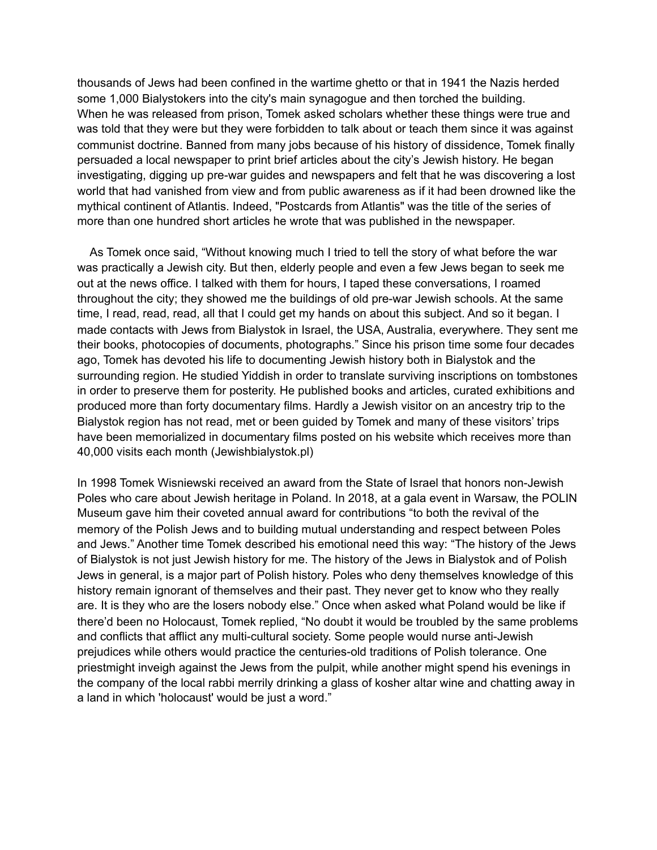thousands of Jews had been confined in the wartime ghetto or that in 1941 the Nazis herded some 1,000 Bialystokers into the city's main synagogue and then torched the building. When he was released from prison, Tomek asked scholars whether these things were true and was told that they were but they were forbidden to talk about or teach them since it was against communist doctrine. Banned from many jobs because of his history of dissidence, Tomek finally persuaded a local newspaper to print brief articles about the city's Jewish history. He began investigating, digging up pre-war guides and newspapers and felt that he was discovering a lost world that had vanished from view and from public awareness as if it had been drowned like the mythical continent of Atlantis. Indeed, "Postcards from Atlantis" was the title of the series of more than one hundred short articles he wrote that was published in the newspaper.

 As Tomek once said, "Without knowing much I tried to tell the story of what before the war was practically a Jewish city. But then, elderly people and even a few Jews began to seek me out at the news office. I talked with them for hours, I taped these conversations, I roamed throughout the city; they showed me the buildings of old pre-war Jewish schools. At the same time, I read, read, read, all that I could get my hands on about this subject. And so it began. I made contacts with Jews from Bialystok in Israel, the USA, Australia, everywhere. They sent me their books, photocopies of documents, photographs." Since his prison time some four decades ago, Tomek has devoted his life to documenting Jewish history both in Bialystok and the surrounding region. He studied Yiddish in order to translate surviving inscriptions on tombstones in order to preserve them for posterity. He published books and articles, curated exhibitions and produced more than forty documentary films. Hardly a Jewish visitor on an ancestry trip to the Bialystok region has not read, met or been guided by Tomek and many of these visitors' trips have been memorialized in documentary films posted on his website which receives more than 40,000 visits each month (Jewishbialystok.pl)

In 1998 Tomek Wisniewski received an award from the State of Israel that honors non-Jewish Poles who care about Jewish heritage in Poland. In 2018, at a gala event in Warsaw, the POLIN Museum gave him their coveted annual award for contributions "to both the revival of the memory of the Polish Jews and to building mutual understanding and respect between Poles and Jews." Another time Tomek described his emotional need this way: "The history of the Jews of Bialystok is not just Jewish history for me. The history of the Jews in Bialystok and of Polish Jews in general, is a major part of Polish history. Poles who deny themselves knowledge of this history remain ignorant of themselves and their past. They never get to know who they really are. It is they who are the losers nobody else." Once when asked what Poland would be like if there'd been no Holocaust, Tomek replied, "No doubt it would be troubled by the same problems and conflicts that afflict any multi-cultural society. Some people would nurse anti-Jewish prejudices while others would practice the centuries-old traditions of Polish tolerance. One priestmight inveigh against the Jews from the pulpit, while another might spend his evenings in the company of the local rabbi merrily drinking a glass of kosher altar wine and chatting away in a land in which 'holocaust' would be just a word."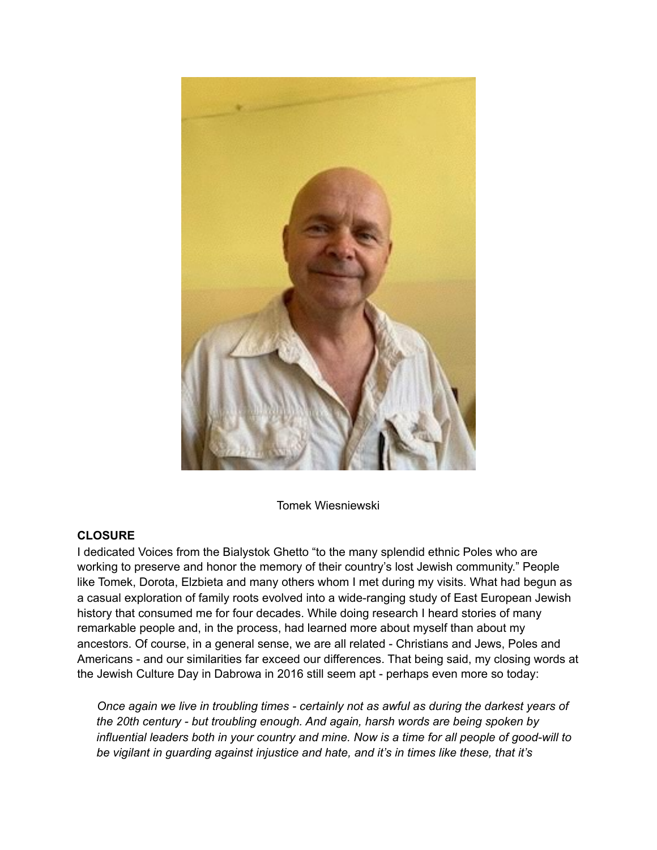

Tomek Wiesniewski

# **CLOSURE**

I dedicated Voices from the Bialystok Ghetto "to the many splendid ethnic Poles who are working to preserve and honor the memory of their country's lost Jewish community." People like Tomek, Dorota, Elzbieta and many others whom I met during my visits. What had begun as a casual exploration of family roots evolved into a wide-ranging study of East European Jewish history that consumed me for four decades. While doing research I heard stories of many remarkable people and, in the process, had learned more about myself than about my ancestors. Of course, in a general sense, we are all related - Christians and Jews, Poles and Americans - and our similarities far exceed our differences. That being said, my closing words at the Jewish Culture Day in Dabrowa in 2016 still seem apt - perhaps even more so today:

 *Once again we live in troubling times - certainly not as awful as during the darkest years of the 20th century - but troubling enough. And again, harsh words are being spoken by influential leaders both in your country and mine. Now is a time for all people of good-will to be vigilant in guarding against injustice and hate, and it's in times like these, that it's*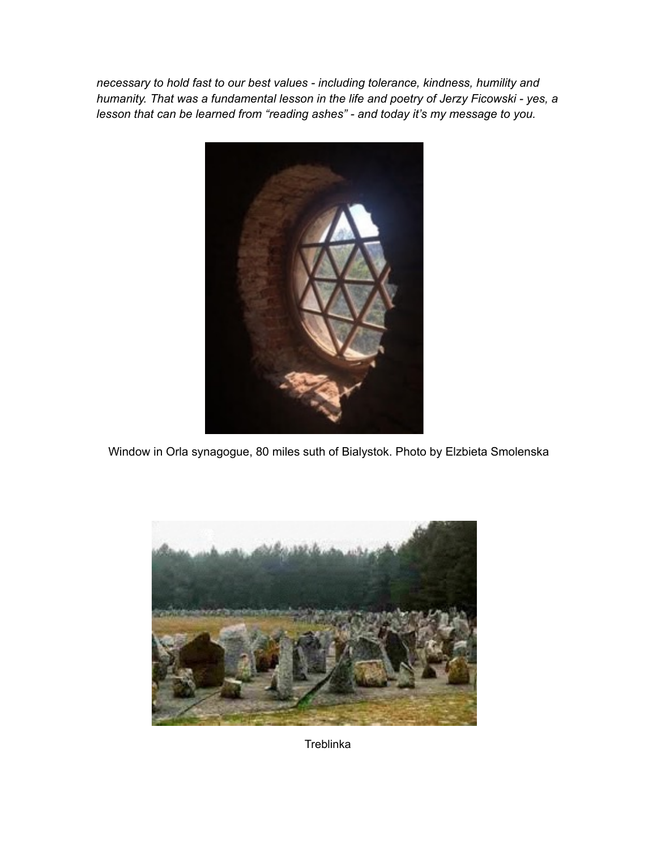*necessary to hold fast to our best values - including tolerance, kindness, humility and humanity. That was a fundamental lesson in the life and poetry of Jerzy Ficowski - yes, a lesson that can be learned from "reading ashes" - and today it's my message to you.*



Window in Orla synagogue, 80 miles suth of Bialystok. Photo by Elzbieta Smolenska



**Treblinka**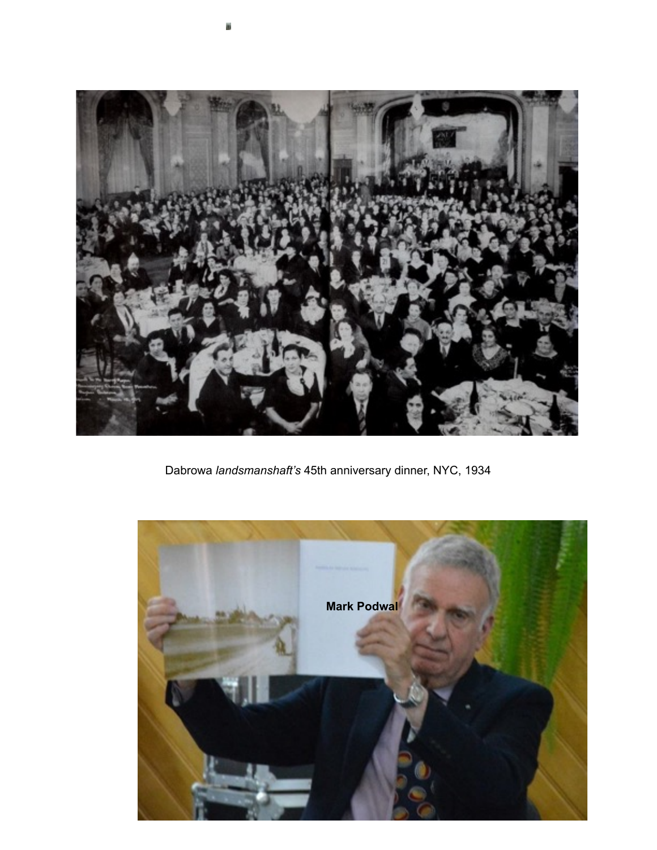

Dabrowa *landsmanshaft's* 45th anniversary dinner, NYC, 1934